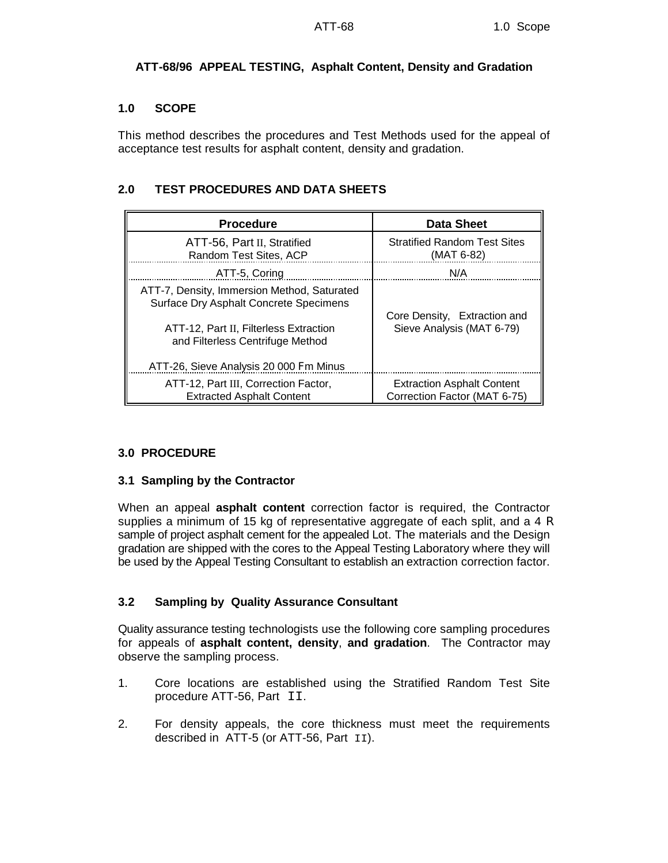## **ATT-68/96 APPEAL TESTING, Asphalt Content, Density and Gradation**

#### **1.0 SCOPE**

This method describes the procedures and Test Methods used for the appeal of acceptance test results for asphalt content, density and gradation.

## **2.0 TEST PROCEDURES AND DATA SHEETS**

| <b>Procedure</b>                                                                                                                                                                                              | <b>Data Sheet</b>                                                 |  |  |  |
|---------------------------------------------------------------------------------------------------------------------------------------------------------------------------------------------------------------|-------------------------------------------------------------------|--|--|--|
| ATT-56, Part II, Stratified<br>Random Test Sites, ACP                                                                                                                                                         | <b>Stratified Random Test Sites</b><br>(MAT 6-82)                 |  |  |  |
| ATT-5, Coring                                                                                                                                                                                                 | N/A                                                               |  |  |  |
| ATT-7, Density, Immersion Method, Saturated<br>Surface Dry Asphalt Concrete Specimens<br>ATT-12, Part II, Filterless Extraction<br>and Filterless Centrifuge Method<br>ATT-26, Sieve Analysis 20 000 Fm Minus | Core Density, Extraction and<br>Sieve Analysis (MAT 6-79)         |  |  |  |
| ATT-12, Part III, Correction Factor,<br><b>Extracted Asphalt Content</b>                                                                                                                                      | <b>Extraction Asphalt Content</b><br>Correction Factor (MAT 6-75) |  |  |  |

#### **3.0 PROCEDURE**

#### **3.1 Sampling by the Contractor**

When an appeal **asphalt content** correction factor is required, the Contractor supplies a minimum of 15 kg of representative aggregate of each split, and a 4 R sample of project asphalt cement for the appealed Lot. The materials and the Design gradation are shipped with the cores to the Appeal Testing Laboratory where they will be used by the Appeal Testing Consultant to establish an extraction correction factor.

# **3.2 Sampling by Quality Assurance Consultant**

Quality assurance testing technologists use the following core sampling procedures for appeals of **asphalt content, density**, **and gradation**. The Contractor may observe the sampling process.

- 1. Core locations are established using the Stratified Random Test Site procedure ATT-56, Part II.
- 2. For density appeals, the core thickness must meet the requirements described in ATT-5 (or ATT-56, Part  $II$ ).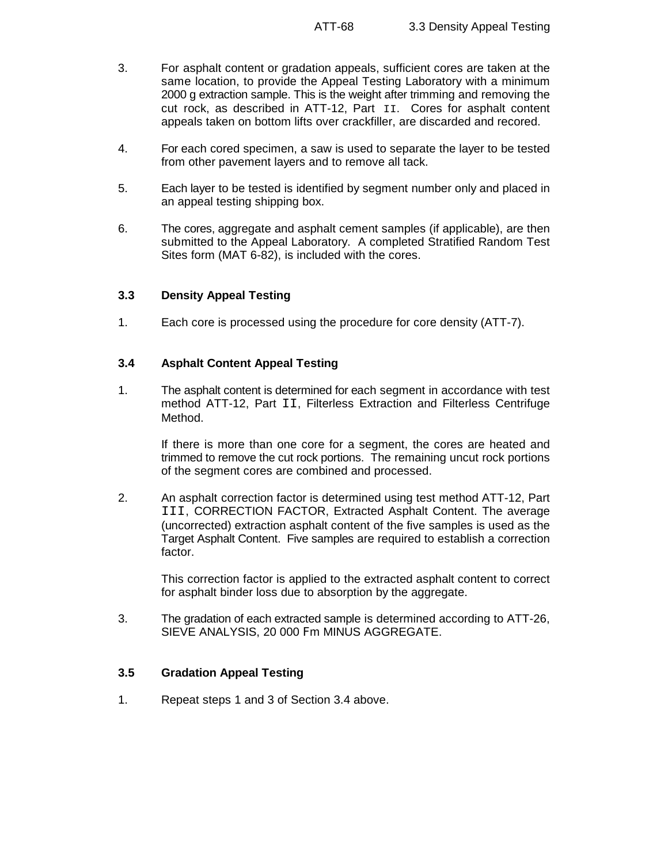- 3. For asphalt content or gradation appeals, sufficient cores are taken at the same location, to provide the Appeal Testing Laboratory with a minimum 2000 g extraction sample. This is the weight after trimming and removing the cut rock, as described in ATT-12, Part II. Cores for asphalt content appeals taken on bottom lifts over crackfiller, are discarded and recored.
- 4. For each cored specimen, a saw is used to separate the layer to be tested from other pavement layers and to remove all tack.
- 5. Each layer to be tested is identified by segment number only and placed in an appeal testing shipping box.
- 6. The cores, aggregate and asphalt cement samples (if applicable), are then submitted to the Appeal Laboratory. A completed Stratified Random Test Sites form (MAT 6-82), is included with the cores.

## **3.3 Density Appeal Testing**

1. Each core is processed using the procedure for core density (ATT-7).

## **3.4 Asphalt Content Appeal Testing**

1. The asphalt content is determined for each segment in accordance with test method ATT-12, Part II, Filterless Extraction and Filterless Centrifuge Method.

If there is more than one core for a segment, the cores are heated and trimmed to remove the cut rock portions. The remaining uncut rock portions of the segment cores are combined and processed.

2. An asphalt correction factor is determined using test method ATT-12, Part III, CORRECTION FACTOR, Extracted Asphalt Content. The average (uncorrected) extraction asphalt content of the five samples is used as the Target Asphalt Content. Five samples are required to establish a correction factor.

This correction factor is applied to the extracted asphalt content to correct for asphalt binder loss due to absorption by the aggregate.

3. The gradation of each extracted sample is determined according to ATT-26, SIEVE ANALYSIS, 20 000 Fm MINUS AGGREGATE.

# **3.5 Gradation Appeal Testing**

1. Repeat steps 1 and 3 of Section 3.4 above.